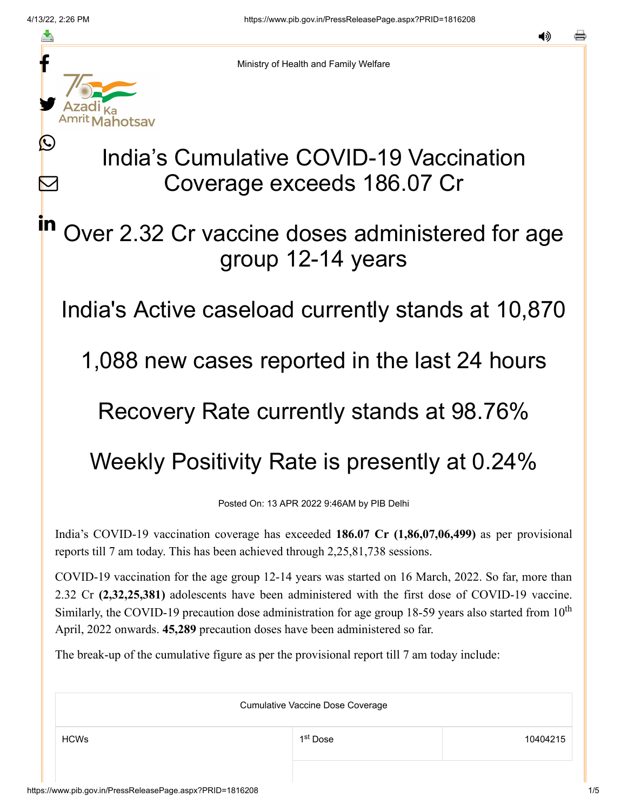≛

 $\mathbf{\Omega}$ 

 $\boldsymbol{\mathsf{M}}$ 

in



Ministry of Health and Family Welfare

# India's Cumulative COVID-19 Vaccination Coverage exceeds 186.07 Cr

## Over 2.32 Cr vaccine doses administered for age group 12-14 years

India's Active caseload currently stands at 10,870

1,088 new cases reported in the last 24 hours

### Recovery Rate currently stands at 98.76%

# Weekly Positivity Rate is presently at 0.24%

Posted On: 13 APR 2022 9:46AM by PIB Delhi

India's COVID-19 vaccination coverage has exceeded **186.07 Cr (1,86,07,06,499)** as per provisional reports till 7 am today. This has been achieved through 2,25,81,738 sessions.

COVID-19 vaccination for the age group 12-14 years was started on 16 March, 2022. So far, more than 2.32 Cr **(2,32,25,381)** adolescents have been administered with the first dose of COVID-19 vaccine. Similarly, the COVID-19 precaution dose administration for age group 18-59 years also started from  $10<sup>th</sup>$ April, 2022 onwards. **45,289** precaution doses have been administered so far.

The break-up of the cumulative figure as per the provisional report till 7 am today include:

| <b>Cumulative Vaccine Dose Coverage</b> |                      |          |  |
|-----------------------------------------|----------------------|----------|--|
| <b>HCWs</b>                             | 1 <sup>st</sup> Dose | 10404215 |  |
|                                         |                      |          |  |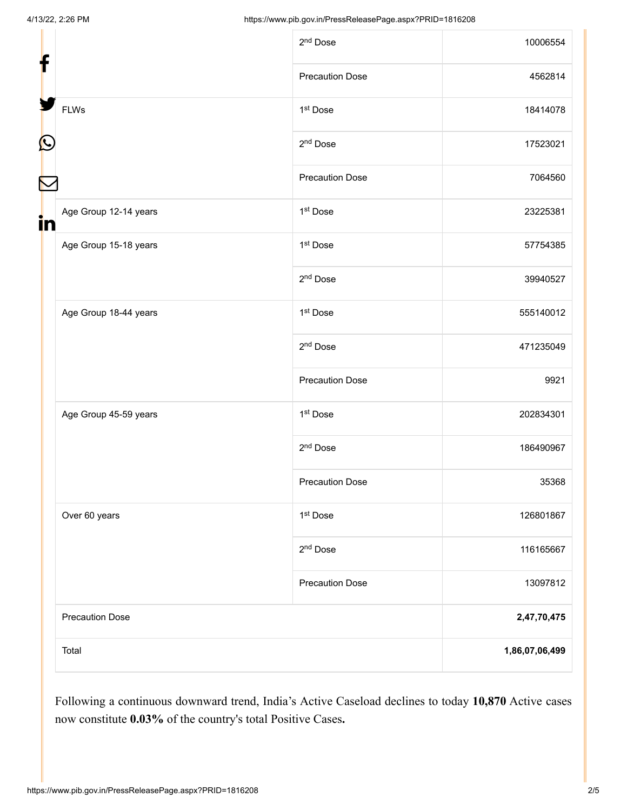| Total                       |                        | 1,86,07,06,499 |
|-----------------------------|------------------------|----------------|
| <b>Precaution Dose</b>      |                        | 2,47,70,475    |
|                             | <b>Precaution Dose</b> | 13097812       |
|                             | 2 <sup>nd</sup> Dose   | 116165667      |
| Over 60 years               | 1st Dose               | 126801867      |
|                             | <b>Precaution Dose</b> | 35368          |
|                             | 2 <sup>nd</sup> Dose   | 186490967      |
| Age Group 45-59 years       | 1 <sup>st</sup> Dose   | 202834301      |
|                             | <b>Precaution Dose</b> | 9921           |
|                             | 2 <sup>nd</sup> Dose   | 471235049      |
| Age Group 18-44 years       | 1st Dose               | 555140012      |
|                             | 2 <sup>nd</sup> Dose   | 39940527       |
| Age Group 15-18 years       | 1 <sup>st</sup> Dose   | 57754385       |
| Age Group 12-14 years<br>in | 1 <sup>st</sup> Dose   | 23225381       |
|                             | <b>Precaution Dose</b> | 7064560        |
| Ŀ                           | 2 <sup>nd</sup> Dose   | 17523021       |
| <b>FLWs</b>                 | 1 <sup>st</sup> Dose   | 18414078       |
|                             | <b>Precaution Dose</b> | 4562814        |
|                             | 2 <sup>nd</sup> Dose   | 10006554       |

Following a continuous downward trend, India's Active Caseload declines to today **10,870** Active cases now constitute **0.03%** of the country's total Positive Cases**.**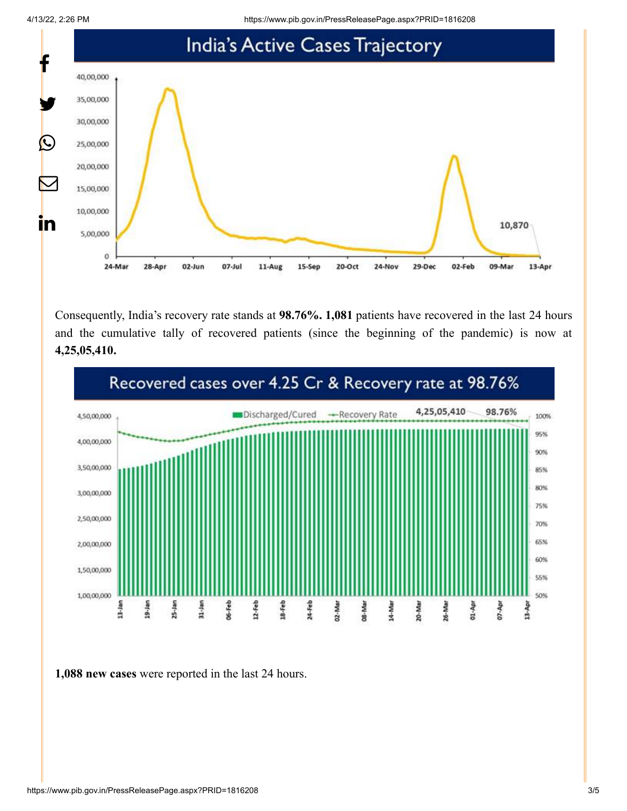4/13/22, 2:26 PM https://www.pib.gov.in/PressReleasePage.aspx?PRID=1816208



Consequently, India's recovery rate stands at **98.76%. 1,081** patients have recovered in the last 24 hours and the cumulative tally of recovered patients (since the beginning of the pandemic) is now at **4,25,05,410.**



**1,088 new cases** were reported in the last 24 hours.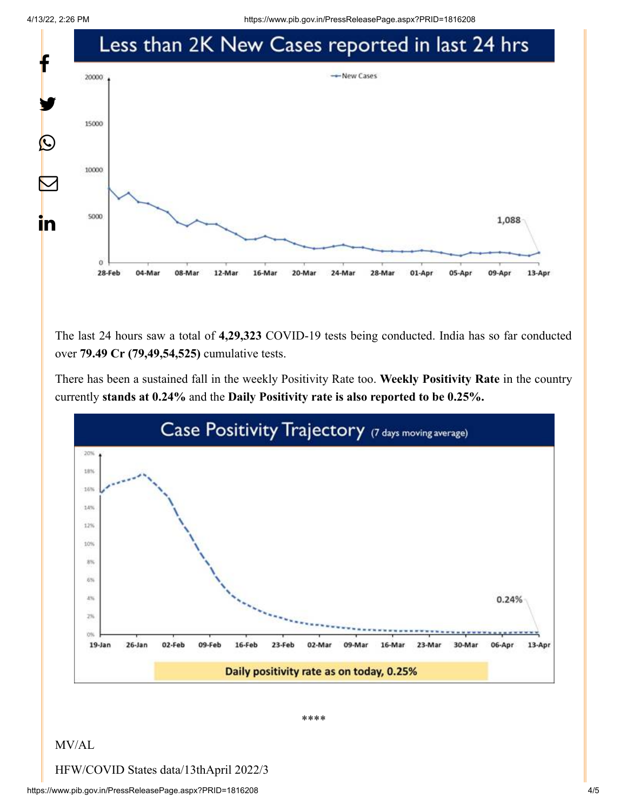4/13/22, 2:26 PM https://www.pib.gov.in/PressReleasePage.aspx?PRID=1816208



The last 24 hours saw a total of **4,29,323** COVID-19 tests being conducted. India has so far conducted over **79.49 Cr (79,49,54,525)** cumulative tests.

There has been a sustained fall in the weekly Positivity Rate too. **Weekly Positivity Rate** in the country currently **stands at 0.24%** and the **Daily Positivity rate is also reported to be 0.25%.**



\*\*\*\*

#### MV/AL

HFW/COVID States data/13thApril 2022/3